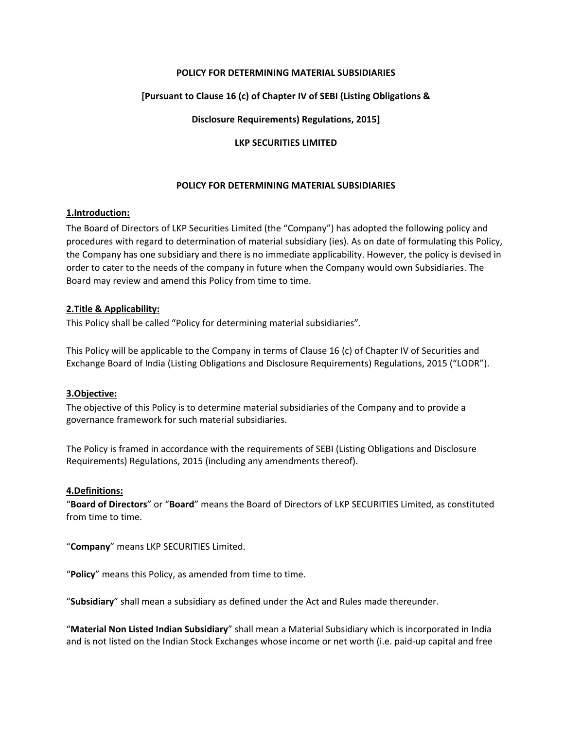## **POLICY FOR DETERMINING MATERIAL SUBSIDIARIES**

## **[Pursuant to Clause 16 (c) of Chapter IV of SEBI (Listing Obligations &**

### **Disclosure Requirements) Regulations, 2015]**

#### **LKP SECURITIES LIMITED**

### **POLICY FOR DETERMINING MATERIAL SUBSIDIARIES**

#### **1.Introduction:**

The Board of Directors of LKP Securities Limited (the "Company") has adopted the following policy and procedures with regard to determination of material subsidiary (ies). As on date of formulating this Policy, the Company has one subsidiary and there is no immediate applicability. However, the policy is devised in order to cater to the needs of the company in future when the Company would own Subsidiaries. The Board may review and amend this Policy from time to time.

### **2.Title & Applicability:**

This Policy shall be called "Policy for determining material subsidiaries".

This Policy will be applicable to the Company in terms of Clause 16 (c) of Chapter IV of Securities and Exchange Board of India (Listing Obligations and Disclosure Requirements) Regulations, 2015 ("LODR").

#### **3.Objective:**

The objective of this Policy is to determine material subsidiaries of the Company and to provide a governance framework for such material subsidiaries.

The Policy is framed in accordance with the requirements of SEBI (Listing Obligations and Disclosure Requirements) Regulations, 2015 (including any amendments thereof).

#### **4.Definitions:**

"**Board of Directors**" or "**Board**" means the Board of Directors of LKP SECURITIES Limited, as constituted from time to time.

"**Company**" means LKP SECURITIES Limited.

"**Policy**" means this Policy, as amended from time to time.

"**Subsidiary**" shall mean a subsidiary as defined under the Act and Rules made thereunder.

"**Material Non Listed Indian Subsidiary**" shall mean a Material Subsidiary which is incorporated in India and is not listed on the Indian Stock Exchanges whose income or net worth (i.e. paid‐up capital and free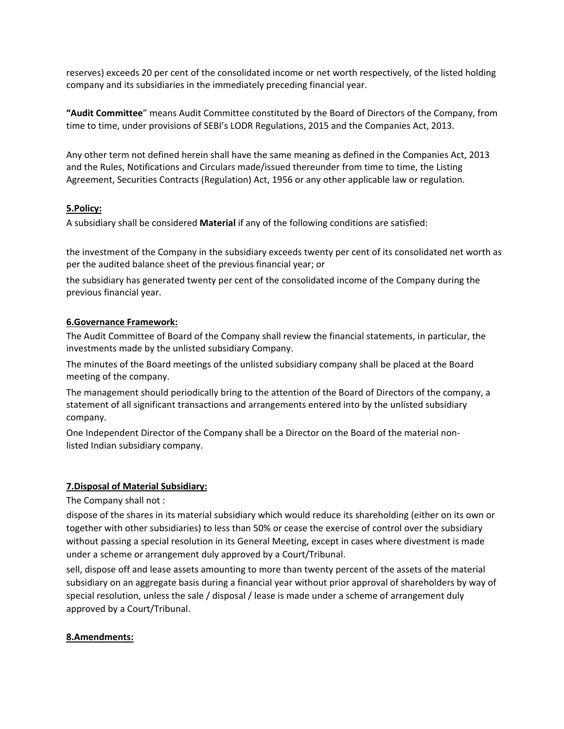reserves) exceeds 20 per cent of the consolidated income or net worth respectively, of the listed holding company and its subsidiaries in the immediately preceding financial year.

**"Audit Committee**" means Audit Committee constituted by the Board of Directors of the Company, from time to time, under provisions of SEBI's LODR Regulations, 2015 and the Companies Act, 2013.

Any other term not defined herein shall have the same meaning as defined in the Companies Act, 2013 and the Rules, Notifications and Circulars made/issued thereunder from time to time, the Listing Agreement, Securities Contracts (Regulation) Act, 1956 or any other applicable law or regulation.

## **5.Policy:**

A subsidiary shall be considered **Material** if any of the following conditions are satisfied:

the investment of the Company in the subsidiary exceeds twenty per cent of its consolidated net worth as per the audited balance sheet of the previous financial year; or

the subsidiary has generated twenty per cent of the consolidated income of the Company during the previous financial year.

## **6.Governance Framework:**

The Audit Committee of Board of the Company shall review the financial statements, in particular, the investments made by the unlisted subsidiary Company.

The minutes of the Board meetings of the unlisted subsidiary company shall be placed at the Board meeting of the company.

The management should periodically bring to the attention of the Board of Directors of the company, a statement of all significant transactions and arrangements entered into by the unlisted subsidiary company.

One Independent Director of the Company shall be a Director on the Board of the material non‐ listed Indian subsidiary company.

## **7.Disposal of Material Subsidiary:**

The Company shall not :

dispose of the shares in its material subsidiary which would reduce its shareholding (either on its own or together with other subsidiaries) to less than 50% or cease the exercise of control over the subsidiary without passing a special resolution in its General Meeting, except in cases where divestment is made under a scheme or arrangement duly approved by a Court/Tribunal.

sell, dispose off and lease assets amounting to more than twenty percent of the assets of the material subsidiary on an aggregate basis during a financial year without prior approval of shareholders by way of special resolution, unless the sale / disposal / lease is made under a scheme of arrangement duly approved by a Court/Tribunal.

## **8.Amendments:**